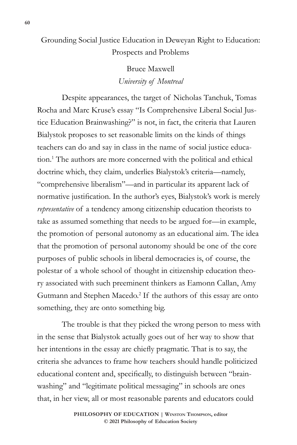Grounding Social Justice Education in Deweyan Right to Education: Prospects and Problems

> Bruce Maxwell *University of Montreal*

Despite appearances, the target of Nicholas Tanchuk, Tomas Rocha and Marc Kruse's essay "Is Comprehensive Liberal Social Justice Education Brainwashing?" is not, in fact, the criteria that Lauren Bialystok proposes to set reasonable limits on the kinds of things teachers can do and say in class in the name of social justice education.1 The authors are more concerned with the political and ethical doctrine which, they claim, underlies Bialystok's criteria—namely, "comprehensive liberalism"—and in particular its apparent lack of normative justification. In the author's eyes, Bialystok's work is merely *representative* of a tendency among citizenship education theorists to take as assumed something that needs to be argued for—in example, the promotion of personal autonomy as an educational aim. The idea that the promotion of personal autonomy should be one of the core purposes of public schools in liberal democracies is, of course, the polestar of a whole school of thought in citizenship education theory associated with such preeminent thinkers as Eamonn Callan, Amy Gutmann and Stephen Macedo.<sup>2</sup> If the authors of this essay are onto something, they are onto something big.

The trouble is that they picked the wrong person to mess with in the sense that Bialystok actually goes out of her way to show that her intentions in the essay are chiefly pragmatic. That is to say, the criteria she advances to frame how teachers should handle politicized educational content and, specifically, to distinguish between "brainwashing" and "legitimate political messaging" in schools are ones that, in her view, all or most reasonable parents and educators could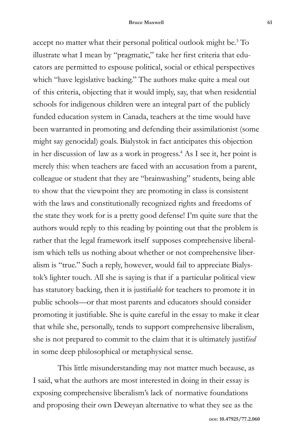accept no matter what their personal political outlook might be.<sup>3</sup> To illustrate what I mean by "pragmatic," take her first criteria that educators are permitted to espouse political, social or ethical perspectives which "have legislative backing." The authors make quite a meal out of this criteria, objecting that it would imply, say, that when residential schools for indigenous children were an integral part of the publicly funded education system in Canada, teachers at the time would have been warranted in promoting and defending their assimilationist (some might say genocidal) goals. Bialystok in fact anticipates this objection in her discussion of law as a work in progress.4 As I see it, her point is merely this: when teachers are faced with an accusation from a parent, colleague or student that they are "brainwashing" students, being able to show that the viewpoint they are promoting in class is consistent with the laws and constitutionally recognized rights and freedoms of the state they work for is a pretty good defense! I'm quite sure that the authors would reply to this reading by pointing out that the problem is rather that the legal framework itself supposes comprehensive liberalism which tells us nothing about whether or not comprehensive liberalism is "true." Such a reply, however, would fail to appreciate Bialystok's lighter touch. All she is saying is that if a particular political view has statutory backing, then it is justifi*able* for teachers to promote it in public schools—or that most parents and educators should consider promoting it justifiable. She is quite careful in the essay to make it clear that while she, personally, tends to support comprehensive liberalism, she is not prepared to commit to the claim that it is ultimately justif*ied* in some deep philosophical or metaphysical sense.

This little misunderstanding may not matter much because, as I said, what the authors are most interested in doing in their essay is exposing comprehensive liberalism's lack of normative foundations and proposing their own Deweyan alternative to what they see as the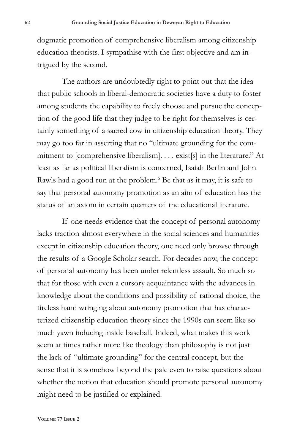dogmatic promotion of comprehensive liberalism among citizenship education theorists. I sympathise with the first objective and am intrigued by the second.

The authors are undoubtedly right to point out that the idea that public schools in liberal-democratic societies have a duty to foster among students the capability to freely choose and pursue the conception of the good life that they judge to be right for themselves is certainly something of a sacred cow in citizenship education theory. They may go too far in asserting that no "ultimate grounding for the commitment to [comprehensive liberalism]. . . . exist[s] in the literature." At least as far as political liberalism is concerned, Isaiah Berlin and John Rawls had a good run at the problem.<sup>5</sup> Be that as it may, it is safe to say that personal autonomy promotion as an aim of education has the status of an axiom in certain quarters of the educational literature.

If one needs evidence that the concept of personal autonomy lacks traction almost everywhere in the social sciences and humanities except in citizenship education theory, one need only browse through the results of a Google Scholar search. For decades now, the concept of personal autonomy has been under relentless assault. So much so that for those with even a cursory acquaintance with the advances in knowledge about the conditions and possibility of rational choice, the tireless hand wringing about autonomy promotion that has characterized citizenship education theory since the 1990s can seem like so much yawn inducing inside baseball. Indeed, what makes this work seem at times rather more like theology than philosophy is not just the lack of "ultimate grounding" for the central concept, but the sense that it is somehow beyond the pale even to raise questions about whether the notion that education should promote personal autonomy might need to be justified or explained.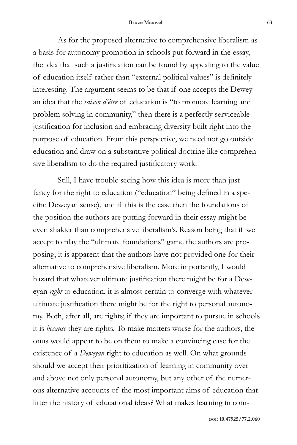## **Bruce Maxwell 63**

As for the proposed alternative to comprehensive liberalism as a basis for autonomy promotion in schools put forward in the essay, the idea that such a justification can be found by appealing to the value of education itself rather than "external political values" is definitely interesting. The argument seems to be that if one accepts the Deweyan idea that the *raison d'être* of education is "to promote learning and problem solving in community," then there is a perfectly serviceable justification for inclusion and embracing diversity built right into the purpose of education. From this perspective, we need not go outside education and draw on a substantive political doctrine like comprehensive liberalism to do the required justificatory work.

Still, I have trouble seeing how this idea is more than just fancy for the right to education ("education" being defined in a specific Deweyan sense), and if this is the case then the foundations of the position the authors are putting forward in their essay might be even shakier than comprehensive liberalism's. Reason being that if we accept to play the "ultimate foundations" game the authors are proposing, it is apparent that the authors have not provided one for their alternative to comprehensive liberalism. More importantly, I would hazard that whatever ultimate justification there might be for a Deweyan *right* to education, it is almost certain to converge with whatever ultimate justification there might be for the right to personal autonomy. Both, after all, are rights; if they are important to pursue in schools it is *because* they are rights. To make matters worse for the authors, the onus would appear to be on them to make a convincing case for the existence of a *Deweyan* right to education as well. On what grounds should we accept their prioritization of learning in community over and above not only personal autonomy, but any other of the numerous alternative accounts of the most important aims of education that litter the history of educational ideas? What makes learning in com-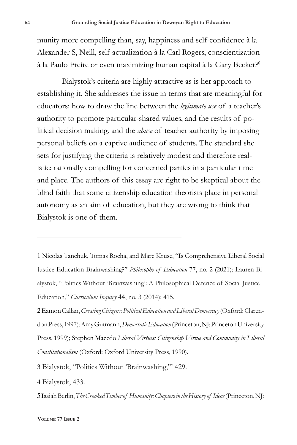munity more compelling than, say, happiness and self-confidence à la Alexander S, Neill, self-actualization à la Carl Rogers, conscientization à la Paulo Freire or even maximizing human capital à la Gary Becker?<sup>6</sup>

Bialystok's criteria are highly attractive as is her approach to establishing it. She addresses the issue in terms that are meaningful for educators: how to draw the line between the *legitimate use* of a teacher's authority to promote particular-shared values, and the results of political decision making, and the *abuse* of teacher authority by imposing personal beliefs on a captive audience of students. The standard she sets for justifying the criteria is relatively modest and therefore realistic: rationally compelling for concerned parties in a particular time and place. The authors of this essay are right to be skeptical about the blind faith that some citizenship education theorists place in personal autonomy as an aim of education, but they are wrong to think that Bialystok is one of them.

1 Nicolas Tanchuk, Tomas Rocha, and Marc Kruse, "Is Comprehensive Liberal Social Justice Education Brainwashing?" *Philosophy of Education* 77, no. 2 (2021); Lauren Bialystok, "Politics Without 'Brainwashing': A Philosophical Defence of Social Justice Education," *Curriculum Inquiry* 44, no. 3 (2014): 415.

2 Eamon Callan, *Creating Citizens: Political Education and Liberal Democracy* (Oxford: Clarendon Press, 1997); Amy Gutmann, *Democratic Education* (Princeton, NJ: Princeton University Press, 1999); Stephen Macedo *Liberal Virtues: Citizenship Virtue and Community in Liberal Constitutionalism* (Oxford: Oxford University Press, 1990).

3 Bialystok, "Politics Without 'Brainwashing,'" 429.

4 Bialystok, 433.

5 Isaiah Berlin, *The Crooked Timber of Humanity: Chapters in the History of Ideas* (Princeton, NJ: